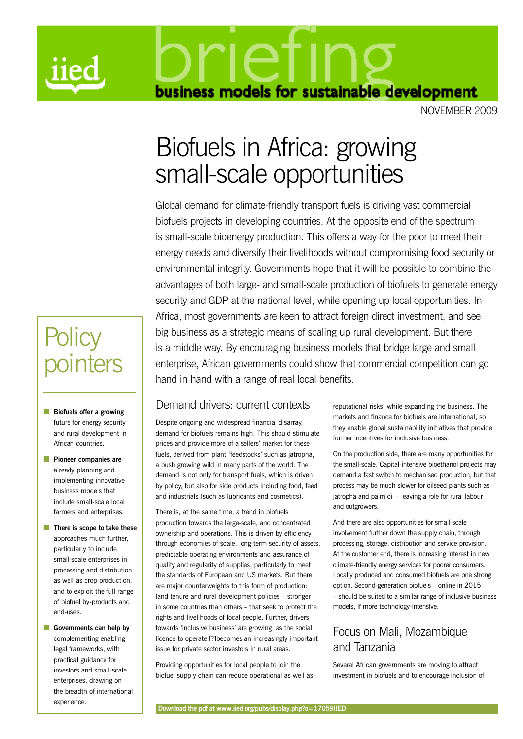

business models for sustainable development

november 2009

# Biofuels in Africa: growing small-scale opportunities

Global demand for climate-friendly transport fuels is driving vast commercial biofuels projects in developing countries. At the opposite end of the spectrum is small-scale bioenergy production. This offers a way for the poor to meet their energy needs and diversify their livelihoods without compromising food security or environmental integrity. Governments hope that it will be possible to combine the advantages of both large- and small-scale production of biofuels to generate energy security and GDP at the national level, while opening up local opportunities. In Africa, most governments are keen to attract foreign direct investment, and see big business as a strategic means of scaling up rural development. But there is a middle way. By encouraging business models that bridge large and small enterprise, African governments could show that commercial competition can go hand in hand with a range of real local benefits.

### Demand drivers: current contexts

Despite ongoing and widespread financial disarray, demand for biofuels remains high. This should stimulate prices and provide more of a sellers' market for these fuels, derived from plant 'feedstocks' such as jatropha, a bush growing wild in many parts of the world. The demand is not only for transport fuels, which is driven by policy, but also for side products including food, feed and industrials (such as lubricants and cosmetics).

There is, at the same time, a trend in biofuels production towards the large-scale, and concentrated ownership and operations. This is driven by efficiency through economies of scale, long-term security of assets, predictable operating environments and assurance of quality and regularity of supplies, particularly to meet the standards of European and US markets. But there are major counterweights to this form of production: land tenure and rural development policies – stronger in some countries than others – that seek to protect the rights and livelihoods of local people. Further, drivers towards 'inclusive business' are growing, as the social licence to operate [?]becomes an increasingly important issue for private sector investors in rural areas.

Providing opportunities for local people to join the biofuel supply chain can reduce operational as well as reputational risks, while expanding the business. The markets and finance for biofuels are international, so they enable global sustainability initiatives that provide further incentives for inclusive business.

On the production side, there are many opportunities for the small-scale. Capital-intensive bioethanol projects may demand a fast switch to mechanised production, but that process may be much slower for oilseed plants such as jatropha and palm oil – leaving a role for rural labour and outgrowers.

And there are also opportunities for small-scale involvement further down the supply chain, through processing, storage, distribution and service provision. At the customer end, there is increasing interest in new climate-friendly energy services for poorer consumers. Locally produced and consumed biofuels are one strong option. Second-generation biofuels – online in 2015 – should be suited to a similar range of inclusive business models, if more technology-intensive.

### Focus on Mali, Mozambique and Tanzania

Several African governments are moving to attract investment in biofuels and to encourage inclusion of

# **Policy** pointers

- **n** Biofuels offer a growing future for energy security and rural development in African countries.
- **n** Pioneer companies are already planning and implementing innovative business models that include small-scale local farmers and enterprises.
- **n** There is scope to take these approaches much further, particularly to include small-scale enterprises in processing and distribution as well as crop production, and to exploit the full range of biofuel by-products and end-uses.

**n** Governments can help by complementing enabling legal frameworks, with practical guidance for investors and small-scale enterprises, drawing on the breadth of international experience.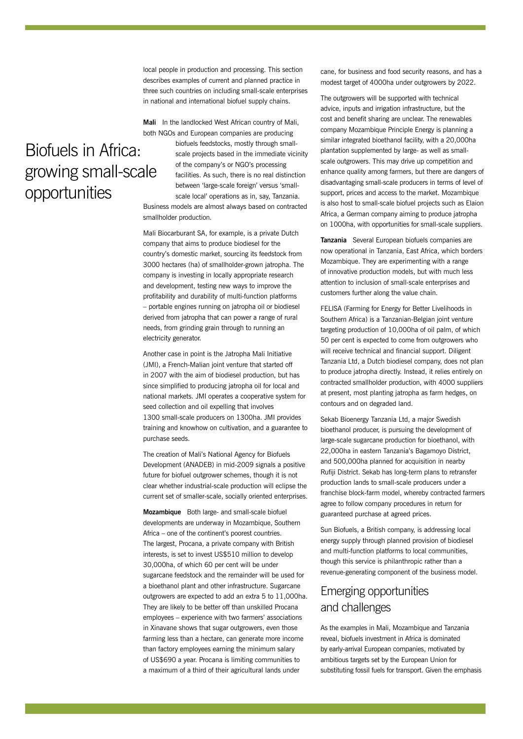local people in production and processing. This section describes examples of current and planned practice in three such countries on including small-scale enterprises in national and international biofuel supply chains.

**Mali** In the landlocked West African country of Mali, both NGOs and European companies are producing

### Biofuels in Africa: growing small-scale opportunities

biofuels feedstocks, mostly through smallscale projects based in the immediate vicinity of the company's or NGO's processing facilities. As such, there is no real distinction between 'large-scale foreign' versus 'smallscale local' operations as in, say, Tanzania. Business models are almost always based on contracted smallholder production.

Mali Biocarburant SA, for example, is a private Dutch company that aims to produce biodiesel for the country's domestic market, sourcing its feedstock from 3000 hectares (ha) of smallholder-grown jatropha. The company is investing in locally appropriate research and development, testing new ways to improve the profitability and durability of multi-function platforms – portable engines running on jatropha oil or biodiesel derived from jatropha that can power a range of rural needs, from grinding grain through to running an electricity generator.

Another case in point is the Jatropha Mali Initiative (JMI), a French-Malian joint venture that started off in 2007 with the aim of biodiesel production, but has since simplified to producing jatropha oil for local and national markets. JMI operates a cooperative system for seed collection and oil expelling that involves 1300 small-scale producers on 1300ha. JMI provides training and knowhow on cultivation, and a guarantee to purchase seeds.

The creation of Mali's National Agency for Biofuels Development (ANADEB) in mid-2009 signals a positive future for biofuel outgrower schemes, though it is not clear whether industrial-scale production will eclipse the current set of smaller-scale, socially oriented enterprises.

**Mozambique** Both large- and small-scale biofuel developments are underway in Mozambique, Southern Africa – one of the continent's poorest countries. The largest, Procana, a private company with British interests, is set to invest US\$510 million to develop 30,000ha, of which 60 per cent will be under sugarcane feedstock and the remainder will be used for a bioethanol plant and other infrastructure. Sugarcane outgrowers are expected to add an extra 5 to 11,000ha. They are likely to be better off than unskilled Procana employees – experience with two farmers' associations in Xinavane shows that sugar outgrowers, even those farming less than a hectare, can generate more income than factory employees earning the minimum salary of US\$690 a year. Procana is limiting communities to a maximum of a third of their agricultural lands under

cane, for business and food security reasons, and has a modest target of 4000ha under outgrowers by 2022.

The outgrowers will be supported with technical advice, inputs and irrigation infrastructure, but the cost and benefit sharing are unclear. The renewables company Mozambique Principle Energy is planning a similar integrated bioethanol facility, with a 20,000ha plantation supplemented by large- as well as smallscale outgrowers. This may drive up competition and enhance quality among farmers, but there are dangers of disadvantaging small-scale producers in terms of level of support, prices and access to the market. Mozambique is also host to small-scale biofuel projects such as Elaion Africa, a German company aiming to produce jatropha on 1000ha, with opportunities for small-scale suppliers.

**Tanzania** Several European biofuels companies are now operational in Tanzania, East Africa, which borders Mozambique. They are experimenting with a range of innovative production models, but with much less attention to inclusion of small-scale enterprises and customers further along the value chain.

FELISA (Farming for Energy for Better Livelihoods in Southern Africa) is a Tanzanian-Belgian joint venture targeting production of 10,000ha of oil palm, of which 50 per cent is expected to come from outgrowers who will receive technical and financial support. Diligent Tanzania Ltd, a Dutch biodiesel company, does not plan to produce jatropha directly. Instead, it relies entirely on contracted smallholder production, with 4000 suppliers at present, most planting jatropha as farm hedges, on contours and on degraded land.

Sekab Bioenergy Tanzania Ltd, a major Swedish bioethanol producer, is pursuing the development of large-scale sugarcane production for bioethanol, with 22,000ha in eastern Tanzania's Bagamoyo District, and 500,000ha planned for acquisition in nearby Rufiji District. Sekab has long-term plans to retransfer production lands to small-scale producers under a franchise block-farm model, whereby contracted farmers agree to follow company procedures in return for guaranteed purchase at agreed prices.

Sun Biofuels, a British company, is addressing local energy supply through planned provision of biodiesel and multi-function platforms to local communities, though this service is philanthropic rather than a revenue-generating component of the business model.

### Emerging opportunities and challenges

As the examples in Mali, Mozambique and Tanzania reveal, biofuels investment in Africa is dominated by early-arrival European companies, motivated by ambitious targets set by the European Union for substituting fossil fuels for transport. Given the emphasis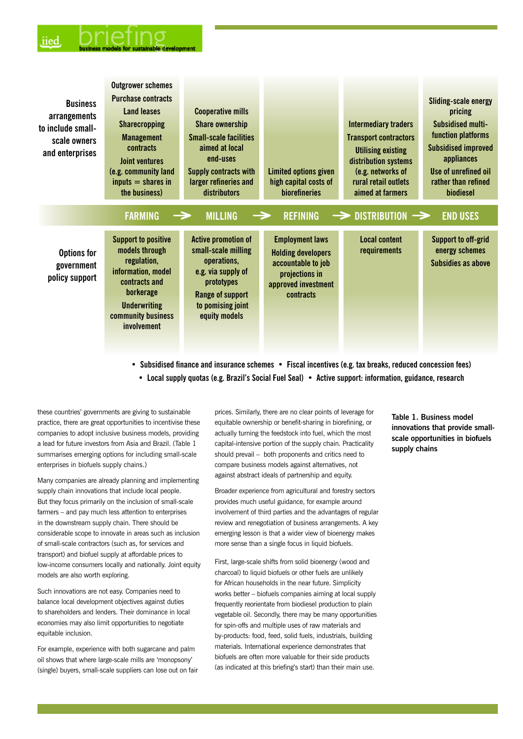| <b>Business</b><br>arrangements<br>to include small-<br>scale owners<br>and enterprises | <b>Outgrower schemes</b><br><b>Purchase contracts</b><br><b>Land leases</b><br><b>Sharecropping</b><br><b>Management</b><br>contracts<br>Joint ventures<br>(e.g. community land<br>$inputs = shares in$<br>the business) | <b>Cooperative mills</b><br><b>Share ownership</b><br><b>Small-scale facilities</b><br>aimed at local<br>end-uses<br>Supply contracts with<br>larger refineries and<br>distributors | <b>Limited options given</b><br>high capital costs of<br><b>biorefineries</b>                                                          | <b>Intermediary traders</b><br><b>Transport contractors</b><br><b>Utilising existing</b><br>distribution systems<br>(e.g. networks of<br>rural retail outlets<br>aimed at farmers | Sliding-scale energy<br>pricing<br><b>Subsidised multi-</b><br>function platforms<br><b>Subsidised improved</b><br>appliances<br>Use of unrefined oil<br>rather than refined<br>biodiesel |
|-----------------------------------------------------------------------------------------|--------------------------------------------------------------------------------------------------------------------------------------------------------------------------------------------------------------------------|-------------------------------------------------------------------------------------------------------------------------------------------------------------------------------------|----------------------------------------------------------------------------------------------------------------------------------------|-----------------------------------------------------------------------------------------------------------------------------------------------------------------------------------|-------------------------------------------------------------------------------------------------------------------------------------------------------------------------------------------|
|                                                                                         | <b>FARMING</b>                                                                                                                                                                                                           | <b>MILLING</b><br>$\rightarrow$<br>$\rightarrow$                                                                                                                                    | <b>REFINING</b>                                                                                                                        | $\rightarrow$ DISTRIBUTION $\rightarrow$                                                                                                                                          | <b>END USES</b>                                                                                                                                                                           |
| Options for<br>government<br>policy support                                             | <b>Support to positive</b><br>models through<br>regulation,<br>information, model<br>contracts and<br>borkerage<br><b>Underwriting</b><br>community business<br>involvement                                              | <b>Active promotion of</b><br>small-scale milling<br>operations,<br>e.g. via supply of<br>prototypes<br>Range of support<br>to pomising joint<br>equity models                      | <b>Employment laws</b><br><b>Holding developers</b><br>accountable to job<br>projections in<br>approved investment<br><b>contracts</b> | <b>Local content</b><br>requirements                                                                                                                                              | <b>Support to off-grid</b><br>energy schemes<br>Subsidies as above                                                                                                                        |

**• Subsidised finance and insurance schemes • Fiscal incentives (e.g. tax breaks, reduced concession fees)**

**• Local supply quotas (e.g. Brazil's Social Fuel Seal) • Active support: information, guidance, research** 

these countries' governments are giving to sustainable practice, there are great opportunities to incentivise these companies to adopt inclusive business models, providing a lead for future investors from Asia and Brazil. (Table 1 summarises emerging options for including small-scale enterprises in biofuels supply chains.)

Many companies are already planning and implementing supply chain innovations that include local people. But they focus primarily on the inclusion of small-scale farmers – and pay much less attention to enterprises in the downstream supply chain. There should be considerable scope to innovate in areas such as inclusion of small-scale contractors (such as, for services and transport) and biofuel supply at affordable prices to low-income consumers locally and nationally. Joint equity models are also worth exploring.

Such innovations are not easy. Companies need to balance local development objectives against duties to shareholders and lenders. Their dominance in local economies may also limit opportunities to negotiate equitable inclusion.

For example, experience with both sugarcane and palm oil shows that where large-scale mills are 'monopsony' (single) buyers, small-scale suppliers can lose out on fair prices. Similarly, there are no clear points of leverage for equitable ownership or benefit-sharing in biorefining, or actually turning the feedstock into fuel, which the most capital-intensive portion of the supply chain. Practicality should prevail – both proponents and critics need to compare business models against alternatives, not against abstract ideals of partnership and equity.

Broader experience from agricultural and forestry sectors provides much useful guidance, for example around involvement of third parties and the advantages of regular review and renegotiation of business arrangements. A key emerging lesson is that a wider view of bioenergy makes more sense than a single focus in liquid biofuels.

First, large-scale shifts from solid bioenergy (wood and charcoal) to liquid biofuels or other fuels are unlikely for African households in the near future. Simplicity works better – biofuels companies aiming at local supply frequently reorientate from biodiesel production to plain vegetable oil. Secondly, there may be many opportunities for spin-offs and multiple uses of raw materials and by-products: food, feed, solid fuels, industrials, building materials. International experience demonstrates that biofuels are often more valuable for their side products (as indicated at this briefing's start) than their main use.

**Table 1. Business model innovations that provide smallscale opportunities in biofuels supply chains**